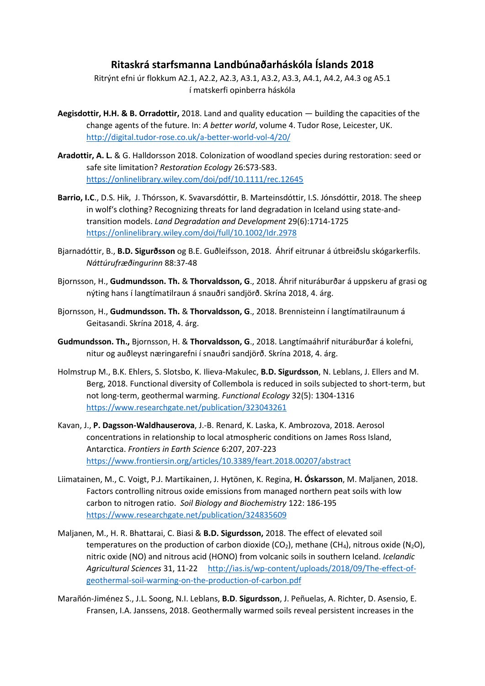## **Ritaskrá starfsmanna Landbúnaðarháskóla Íslands 2018**

Ritrýnt efni úr flokkum A2.1, A2.2, A2.3, A3.1, A3.2, A3.3, A4.1, A4.2, A4.3 og A5.1 í matskerfi opinberra háskóla

- **Aegisdottir, H.H. & B. Orradottir,** 2018. Land and quality education building the capacities of the change agents of the future. In: *A better world*, volume 4. Tudor Rose, Leicester, UK. <http://digital.tudor-rose.co.uk/a-better-world-vol-4/20/>
- **Aradottir, A. L.** & G. Halldorsson 2018. Colonization of woodland species during restoration: seed or safe site limitation? *Restoration Ecology* 26:S73-S83. <https://onlinelibrary.wiley.com/doi/pdf/10.1111/rec.12645>
- **Barrio, I.C**., D.S. Hik, J. Thórsson, K. Svavarsdóttir, B. Marteinsdóttir, I.S. Jónsdóttir, 2018. The sheep in wolf's clothing? Recognizing threats for land degradation in Iceland using state-andtransition models. *Land Degradation and Development* 29(6):1714-1725 <https://onlinelibrary.wiley.com/doi/full/10.1002/ldr.2978>
- Bjarnadóttir, B., **B.D. Sigurðsson** og B.E. Guðleifsson, 2018. Áhrif eitrunar á útbreiðslu skógarkerfils. *Náttúrufræðingurinn* 88:37-48
- Bjornsson, H., **Gudmundsson. Th.** & **Thorvaldsson, G**., 2018. Áhrif nituráburðar á uppskeru af grasi og nýting hans í langtímatilraun á snauðri sandjörð. Skrína 2018, 4. árg.
- Bjornsson, H., **Gudmundsson. Th.** & **Thorvaldsson, G**., 2018. Brennisteinn í langtímatilraunum á Geitasandi. Skrína 2018, 4. árg.
- **Gudmundsson. Th.,** Bjornsson, H. & **Thorvaldsson, G**., 2018. Langtímaáhrif nituráburðar á kolefni, nitur og auðleyst næringarefni í snauðri sandjörð. Skrína 2018, 4. árg.
- Holmstrup M., B.K. Ehlers, S. Slotsbo, K. Ilieva-Makulec, **B.D. Sigurdsson**, N. Leblans, J. Ellers and M. Berg, 2018. Functional diversity of Collembola is reduced in soils subjected to short-term, but not long-term, geothermal warming. *Functional Ecology* 32(5): 1304-1316 <https://www.researchgate.net/publication/323043261>
- Kavan, J., **P. Dagsson-Waldhauserova**, J.-B. Renard, K. Laska, K. Ambrozova, 2018. Aerosol concentrations in relationship to local atmospheric conditions on James Ross Island, Antarctica. *Frontiers in Earth Science* 6:207, 207-223 <https://www.frontiersin.org/articles/10.3389/feart.2018.00207/abstract>
- Liimatainen, M., C. Voigt, P.J. Martikainen, J. Hytönen, K. Regina, **H. Óskarsson**, M. Maljanen, 2018. Factors controlling nitrous oxide emissions from managed northern peat soils with low carbon to nitrogen ratio. *Soil Biology and Biochemistry* 122: 186-195 <https://www.researchgate.net/publication/324835609>
- Maljanen, M., H. R. Bhattarai, C. Biasi & **B.D. Sigurdsson,** 2018. The effect of elevated soil temperatures on the production of carbon dioxide (CO<sub>2</sub>), methane (CH<sub>4</sub>), nitrous oxide (N<sub>2</sub>O), nitric oxide (NO) and nitrous acid (HONO) from volcanic soils in southern Iceland. *Icelandic Agricultural Sciences* 31, 11-22 [http://ias.is/wp-content/uploads/2018/09/The-effect-of](http://ias.is/wp-content/uploads/2018/09/The-effect-of-geothermal-soil-warming-on-the-production-of-carbon.pdf)[geothermal-soil-warming-on-the-production-of-carbon.pdf](http://ias.is/wp-content/uploads/2018/09/The-effect-of-geothermal-soil-warming-on-the-production-of-carbon.pdf)
- Marañón-Jiménez S., J.L. Soong, N.I. Leblans, **B.D**. **Sigurdsson**, J. Peñuelas, A. Richter, D. Asensio, E. Fransen, I.A. Janssens, 2018. Geothermally warmed soils reveal persistent increases in the